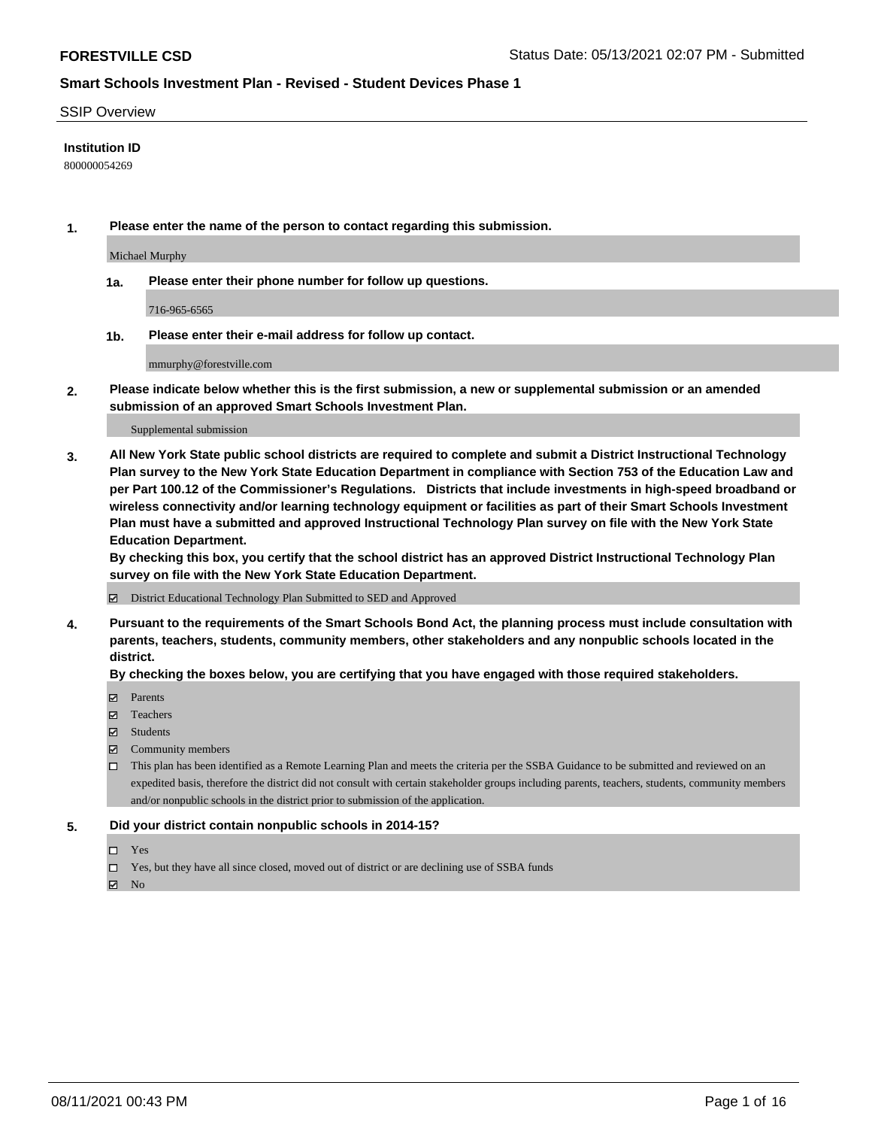#### SSIP Overview

### **Institution ID**

800000054269

**1. Please enter the name of the person to contact regarding this submission.**

Michael Murphy

**1a. Please enter their phone number for follow up questions.**

716-965-6565

**1b. Please enter their e-mail address for follow up contact.**

mmurphy@forestville.com

**2. Please indicate below whether this is the first submission, a new or supplemental submission or an amended submission of an approved Smart Schools Investment Plan.**

#### Supplemental submission

**3. All New York State public school districts are required to complete and submit a District Instructional Technology Plan survey to the New York State Education Department in compliance with Section 753 of the Education Law and per Part 100.12 of the Commissioner's Regulations. Districts that include investments in high-speed broadband or wireless connectivity and/or learning technology equipment or facilities as part of their Smart Schools Investment Plan must have a submitted and approved Instructional Technology Plan survey on file with the New York State Education Department.** 

**By checking this box, you certify that the school district has an approved District Instructional Technology Plan survey on file with the New York State Education Department.**

District Educational Technology Plan Submitted to SED and Approved

**4. Pursuant to the requirements of the Smart Schools Bond Act, the planning process must include consultation with parents, teachers, students, community members, other stakeholders and any nonpublic schools located in the district.** 

#### **By checking the boxes below, you are certifying that you have engaged with those required stakeholders.**

- **Parents**
- Teachers
- Students
- $\boxtimes$  Community members
- This plan has been identified as a Remote Learning Plan and meets the criteria per the SSBA Guidance to be submitted and reviewed on an expedited basis, therefore the district did not consult with certain stakeholder groups including parents, teachers, students, community members and/or nonpublic schools in the district prior to submission of the application.
- **5. Did your district contain nonpublic schools in 2014-15?**
	- □ Yes
	- □ Yes, but they have all since closed, moved out of district or are declining use of SSBA funds

 $M$  No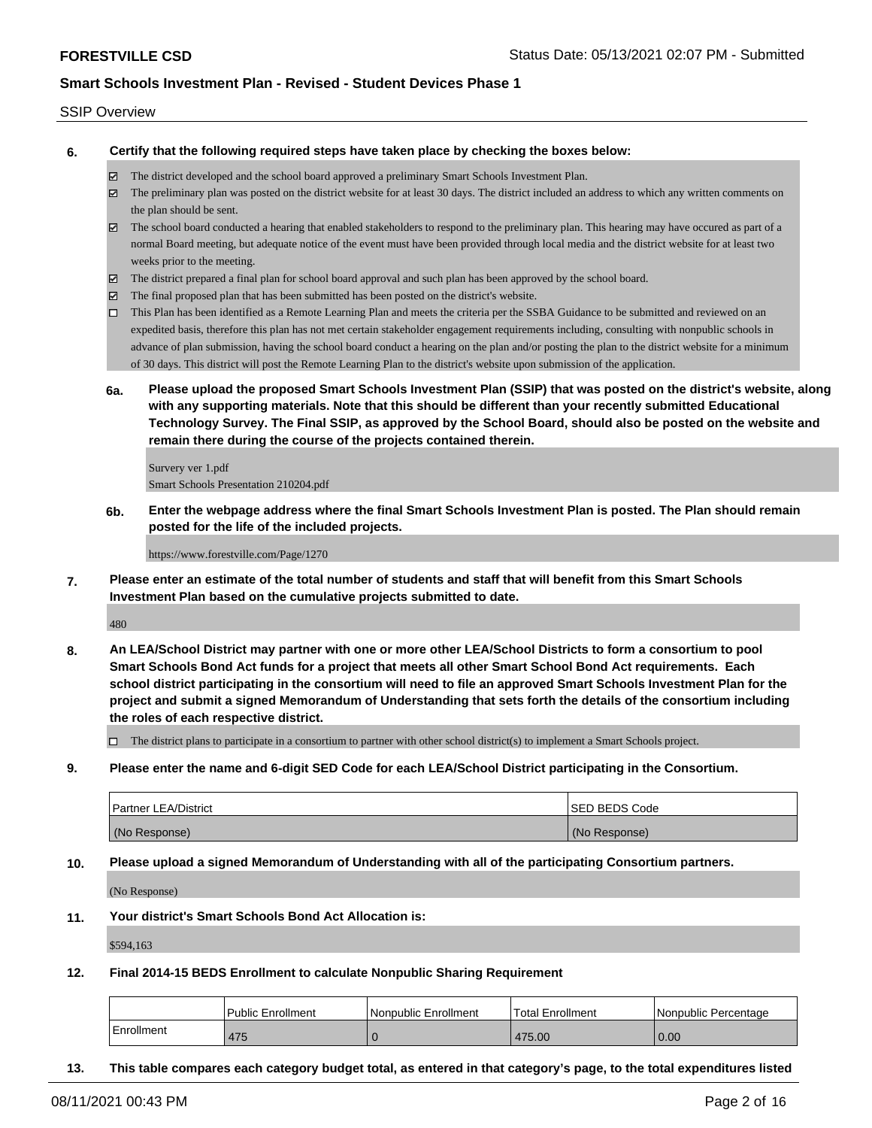#### SSIP Overview

**6. Certify that the following required steps have taken place by checking the boxes below:**

- The district developed and the school board approved a preliminary Smart Schools Investment Plan.
- The preliminary plan was posted on the district website for at least 30 days. The district included an address to which any written comments on the plan should be sent.
- The school board conducted a hearing that enabled stakeholders to respond to the preliminary plan. This hearing may have occured as part of a normal Board meeting, but adequate notice of the event must have been provided through local media and the district website for at least two weeks prior to the meeting.
- The district prepared a final plan for school board approval and such plan has been approved by the school board.
- $\boxtimes$  The final proposed plan that has been submitted has been posted on the district's website.
- This Plan has been identified as a Remote Learning Plan and meets the criteria per the SSBA Guidance to be submitted and reviewed on an expedited basis, therefore this plan has not met certain stakeholder engagement requirements including, consulting with nonpublic schools in advance of plan submission, having the school board conduct a hearing on the plan and/or posting the plan to the district website for a minimum of 30 days. This district will post the Remote Learning Plan to the district's website upon submission of the application.
- **6a. Please upload the proposed Smart Schools Investment Plan (SSIP) that was posted on the district's website, along with any supporting materials. Note that this should be different than your recently submitted Educational Technology Survey. The Final SSIP, as approved by the School Board, should also be posted on the website and remain there during the course of the projects contained therein.**

Survery ver 1.pdf Smart Schools Presentation 210204.pdf

**6b. Enter the webpage address where the final Smart Schools Investment Plan is posted. The Plan should remain posted for the life of the included projects.**

https://www.forestville.com/Page/1270

**7. Please enter an estimate of the total number of students and staff that will benefit from this Smart Schools Investment Plan based on the cumulative projects submitted to date.**

480

**8. An LEA/School District may partner with one or more other LEA/School Districts to form a consortium to pool Smart Schools Bond Act funds for a project that meets all other Smart School Bond Act requirements. Each school district participating in the consortium will need to file an approved Smart Schools Investment Plan for the project and submit a signed Memorandum of Understanding that sets forth the details of the consortium including the roles of each respective district.**

 $\Box$  The district plans to participate in a consortium to partner with other school district(s) to implement a Smart Schools project.

**9. Please enter the name and 6-digit SED Code for each LEA/School District participating in the Consortium.**

| <b>Partner LEA/District</b> | <b>ISED BEDS Code</b> |
|-----------------------------|-----------------------|
| (No Response)               | (No Response)         |

**10. Please upload a signed Memorandum of Understanding with all of the participating Consortium partners.**

(No Response)

**11. Your district's Smart Schools Bond Act Allocation is:**

\$594,163

**12. Final 2014-15 BEDS Enrollment to calculate Nonpublic Sharing Requirement**

|            | l Public Enrollment | l Nonpublic Enrollment | <b>Total Enrollment</b> | l Nonpublic Percentage |
|------------|---------------------|------------------------|-------------------------|------------------------|
| Enrollment | 475                 |                        | 475.00                  | 0.00                   |

**13. This table compares each category budget total, as entered in that category's page, to the total expenditures listed**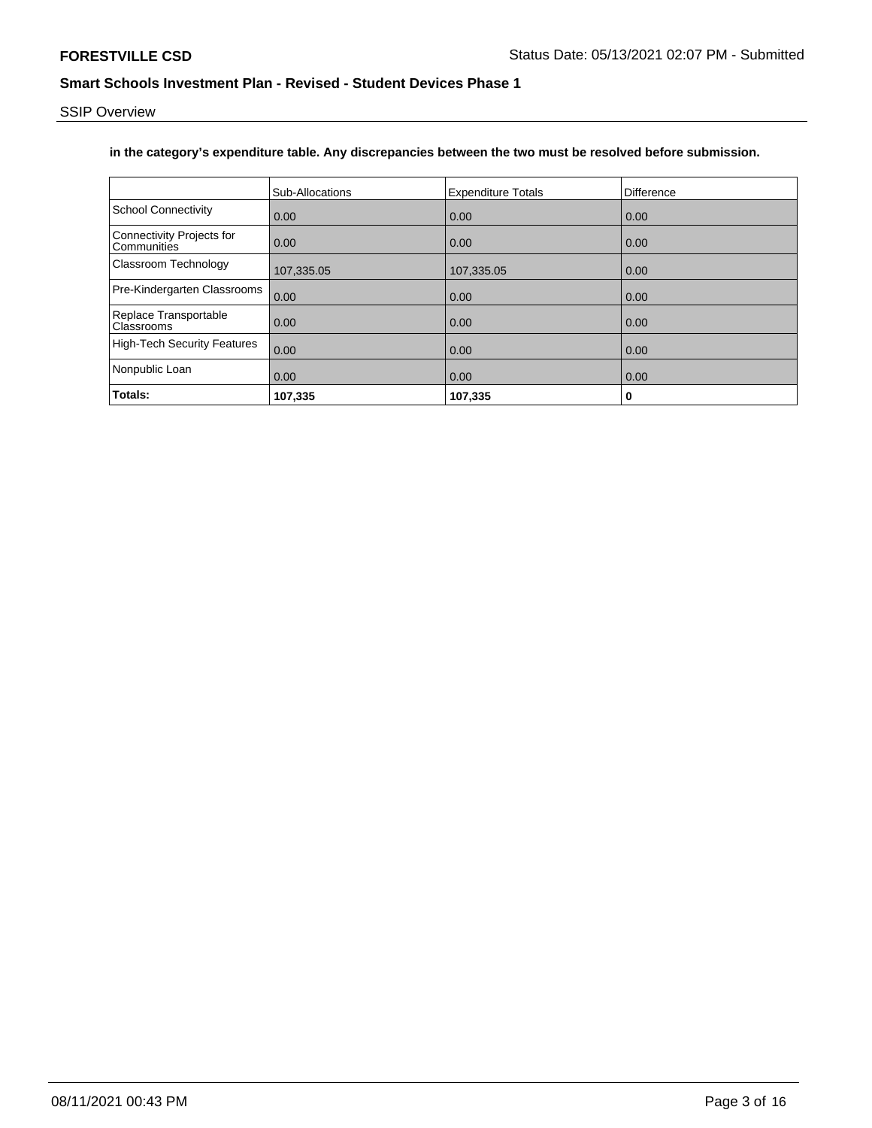SSIP Overview

## **in the category's expenditure table. Any discrepancies between the two must be resolved before submission.**

|                                          | <b>Sub-Allocations</b> | <b>Expenditure Totals</b> | Difference |
|------------------------------------------|------------------------|---------------------------|------------|
| <b>School Connectivity</b>               | 0.00                   | 0.00                      | 0.00       |
| Connectivity Projects for<br>Communities | 0.00                   | 0.00                      | 0.00       |
| Classroom Technology                     | 107,335.05             | 107,335.05                | 0.00       |
| Pre-Kindergarten Classrooms              | 0.00                   | 0.00                      | 0.00       |
| Replace Transportable<br>Classrooms      | 0.00                   | 0.00                      | 0.00       |
| <b>High-Tech Security Features</b>       | 0.00                   | 0.00                      | 0.00       |
| Nonpublic Loan                           | 0.00                   | 0.00                      | 0.00       |
| Totals:                                  | 107,335                | 107,335                   | 0          |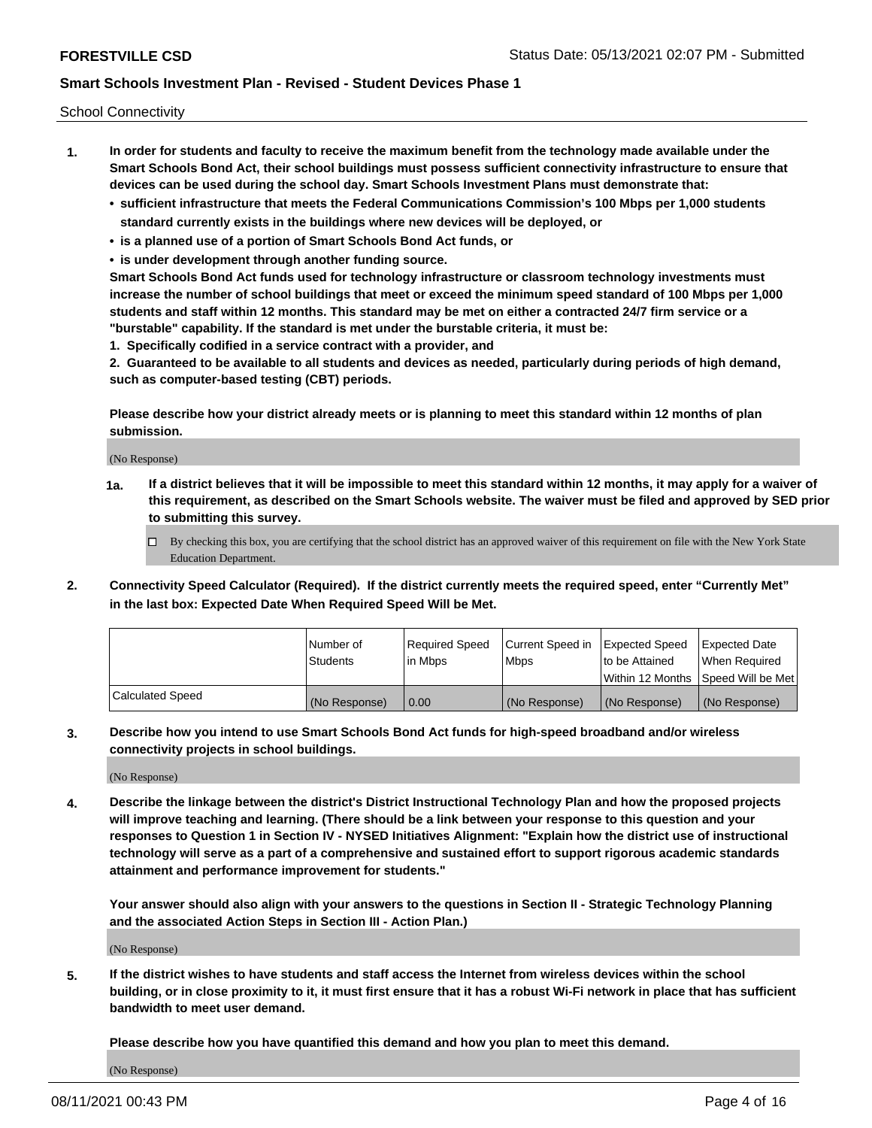School Connectivity

- **1. In order for students and faculty to receive the maximum benefit from the technology made available under the Smart Schools Bond Act, their school buildings must possess sufficient connectivity infrastructure to ensure that devices can be used during the school day. Smart Schools Investment Plans must demonstrate that:**
	- **• sufficient infrastructure that meets the Federal Communications Commission's 100 Mbps per 1,000 students standard currently exists in the buildings where new devices will be deployed, or**
	- **• is a planned use of a portion of Smart Schools Bond Act funds, or**
	- **• is under development through another funding source.**

**Smart Schools Bond Act funds used for technology infrastructure or classroom technology investments must increase the number of school buildings that meet or exceed the minimum speed standard of 100 Mbps per 1,000 students and staff within 12 months. This standard may be met on either a contracted 24/7 firm service or a "burstable" capability. If the standard is met under the burstable criteria, it must be:**

**1. Specifically codified in a service contract with a provider, and**

**2. Guaranteed to be available to all students and devices as needed, particularly during periods of high demand, such as computer-based testing (CBT) periods.**

**Please describe how your district already meets or is planning to meet this standard within 12 months of plan submission.**

(No Response)

**1a. If a district believes that it will be impossible to meet this standard within 12 months, it may apply for a waiver of this requirement, as described on the Smart Schools website. The waiver must be filed and approved by SED prior to submitting this survey.**

 $\Box$  By checking this box, you are certifying that the school district has an approved waiver of this requirement on file with the New York State Education Department.

**2. Connectivity Speed Calculator (Required). If the district currently meets the required speed, enter "Currently Met" in the last box: Expected Date When Required Speed Will be Met.**

|                  | l Number of     | Required Speed | Current Speed in | Expected Speed  | Expected Date                           |
|------------------|-----------------|----------------|------------------|-----------------|-----------------------------------------|
|                  | <b>Students</b> | In Mbps        | l Mbps           | to be Attained  | When Required                           |
|                  |                 |                |                  |                 | l Within 12 Months ISpeed Will be Met l |
| Calculated Speed | (No Response)   | 0.00           | (No Response)    | l (No Response) | l (No Response)                         |

**3. Describe how you intend to use Smart Schools Bond Act funds for high-speed broadband and/or wireless connectivity projects in school buildings.**

(No Response)

**4. Describe the linkage between the district's District Instructional Technology Plan and how the proposed projects will improve teaching and learning. (There should be a link between your response to this question and your responses to Question 1 in Section IV - NYSED Initiatives Alignment: "Explain how the district use of instructional technology will serve as a part of a comprehensive and sustained effort to support rigorous academic standards attainment and performance improvement for students."** 

**Your answer should also align with your answers to the questions in Section II - Strategic Technology Planning and the associated Action Steps in Section III - Action Plan.)**

(No Response)

**5. If the district wishes to have students and staff access the Internet from wireless devices within the school building, or in close proximity to it, it must first ensure that it has a robust Wi-Fi network in place that has sufficient bandwidth to meet user demand.**

**Please describe how you have quantified this demand and how you plan to meet this demand.**

(No Response)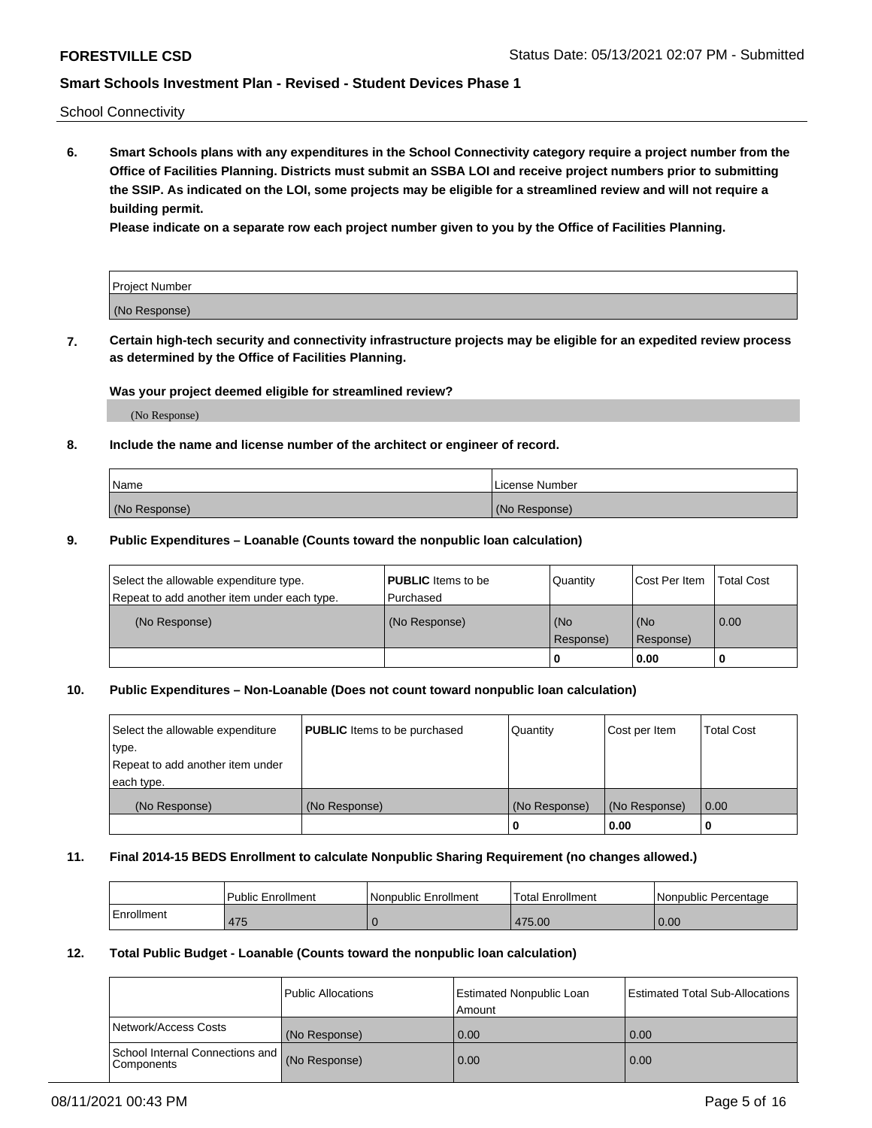School Connectivity

**6. Smart Schools plans with any expenditures in the School Connectivity category require a project number from the Office of Facilities Planning. Districts must submit an SSBA LOI and receive project numbers prior to submitting the SSIP. As indicated on the LOI, some projects may be eligible for a streamlined review and will not require a building permit.**

**Please indicate on a separate row each project number given to you by the Office of Facilities Planning.**

| Project Number |  |
|----------------|--|
| (No Response)  |  |

**7. Certain high-tech security and connectivity infrastructure projects may be eligible for an expedited review process as determined by the Office of Facilities Planning.**

#### **Was your project deemed eligible for streamlined review?**

(No Response)

### **8. Include the name and license number of the architect or engineer of record.**

| Name          | License Number |
|---------------|----------------|
| (No Response) | (No Response)  |

#### **9. Public Expenditures – Loanable (Counts toward the nonpublic loan calculation)**

| Select the allowable expenditure type.<br>Repeat to add another item under each type. | <b>PUBLIC</b> Items to be<br>l Purchased | Quantity           | Cost Per Item    | <b>Total Cost</b> |
|---------------------------------------------------------------------------------------|------------------------------------------|--------------------|------------------|-------------------|
| (No Response)                                                                         | (No Response)                            | l (No<br>Response) | (No<br>Response) | $\overline{0.00}$ |
|                                                                                       |                                          | O                  | 0.00             |                   |

### **10. Public Expenditures – Non-Loanable (Does not count toward nonpublic loan calculation)**

| Select the allowable expenditure<br>type.<br>Repeat to add another item under<br>each type. | <b>PUBLIC</b> Items to be purchased | Quantity      | Cost per Item | <b>Total Cost</b> |
|---------------------------------------------------------------------------------------------|-------------------------------------|---------------|---------------|-------------------|
| (No Response)                                                                               | (No Response)                       | (No Response) | (No Response) | 0.00              |
|                                                                                             |                                     |               | 0.00          |                   |

#### **11. Final 2014-15 BEDS Enrollment to calculate Nonpublic Sharing Requirement (no changes allowed.)**

|            | l Public Enrollment | Nonpublic Enrollment | 'Total Enrollment | l Nonpublic Percentage |
|------------|---------------------|----------------------|-------------------|------------------------|
| Enrollment | 475                 |                      | 475.00            | 0.00                   |

### **12. Total Public Budget - Loanable (Counts toward the nonpublic loan calculation)**

|                                                      | Public Allocations | <b>Estimated Nonpublic Loan</b><br>Amount | Estimated Total Sub-Allocations |
|------------------------------------------------------|--------------------|-------------------------------------------|---------------------------------|
| Network/Access Costs                                 | (No Response)      | 0.00                                      | 0.00                            |
| School Internal Connections and<br><b>Components</b> | (No Response)      | 0.00                                      | 0.00                            |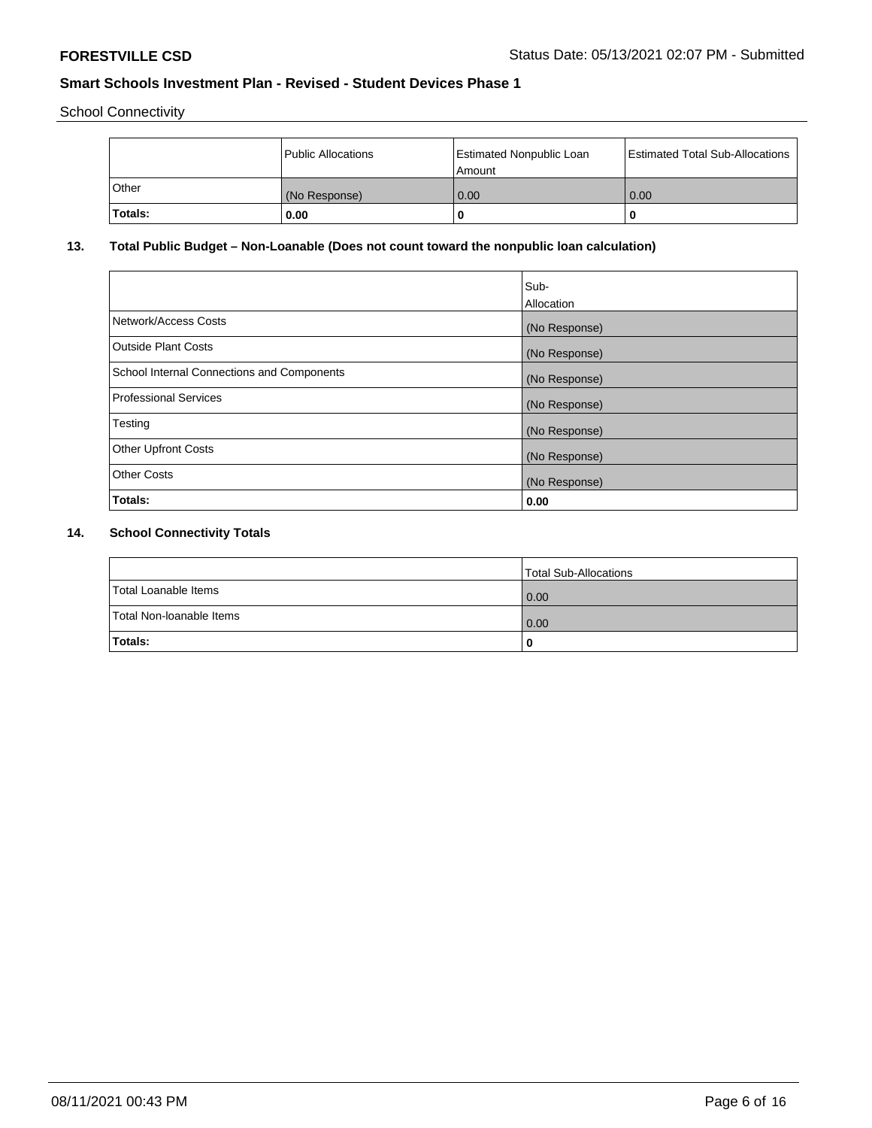School Connectivity

|         | Public Allocations | <b>Estimated Nonpublic Loan</b><br>l Amount | <b>Estimated Total Sub-Allocations</b> |
|---------|--------------------|---------------------------------------------|----------------------------------------|
| l Other | (No Response)      | 0.00                                        | 0.00                                   |
| Totals: | 0.00               | 0                                           |                                        |

# **13. Total Public Budget – Non-Loanable (Does not count toward the nonpublic loan calculation)**

|                                                   | Sub-<br>Allocation |
|---------------------------------------------------|--------------------|
|                                                   |                    |
| Network/Access Costs                              | (No Response)      |
| <b>Outside Plant Costs</b>                        | (No Response)      |
| <b>School Internal Connections and Components</b> | (No Response)      |
| Professional Services                             | (No Response)      |
| Testing                                           | (No Response)      |
| <b>Other Upfront Costs</b>                        | (No Response)      |
| <b>Other Costs</b>                                | (No Response)      |
| <b>Totals:</b>                                    | 0.00               |

# **14. School Connectivity Totals**

|                          | Total Sub-Allocations |
|--------------------------|-----------------------|
| Total Loanable Items     | 0.00                  |
| Total Non-Ioanable Items | 0.00                  |
| Totals:                  | 0                     |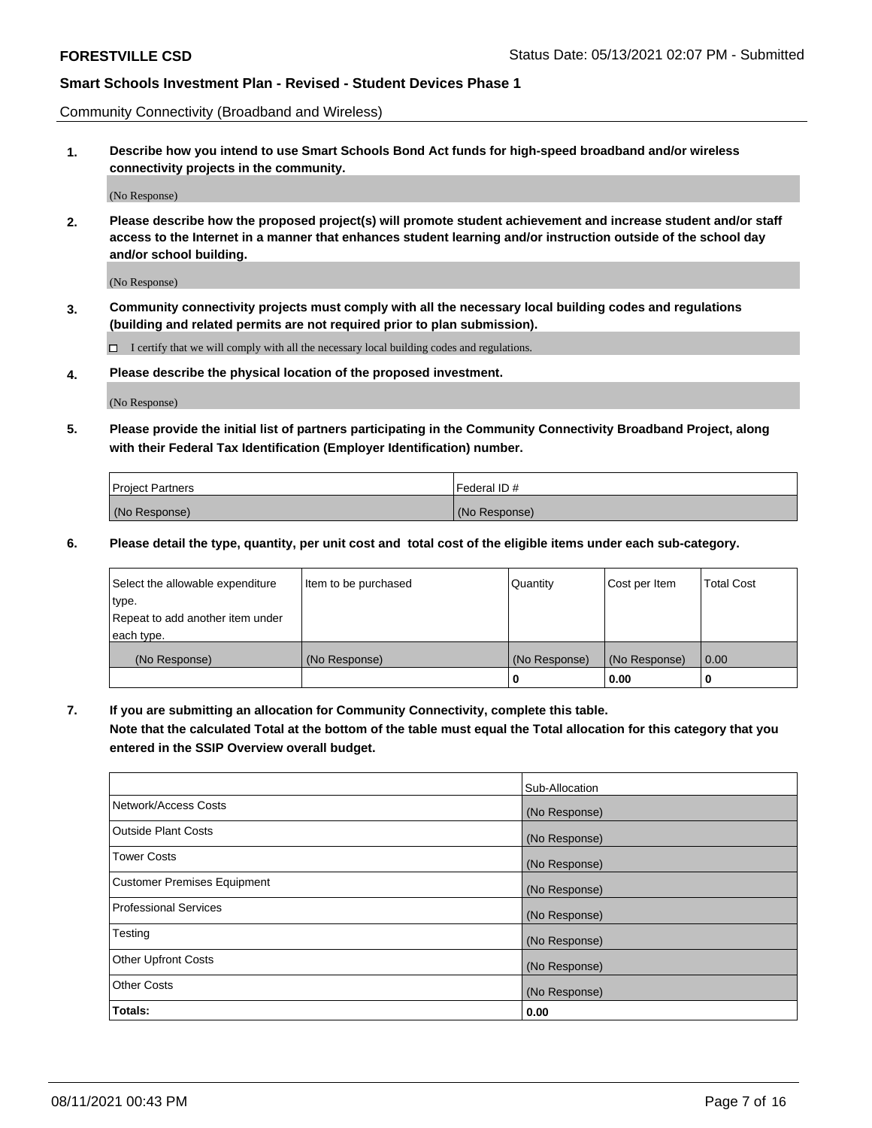Community Connectivity (Broadband and Wireless)

**1. Describe how you intend to use Smart Schools Bond Act funds for high-speed broadband and/or wireless connectivity projects in the community.**

(No Response)

**2. Please describe how the proposed project(s) will promote student achievement and increase student and/or staff access to the Internet in a manner that enhances student learning and/or instruction outside of the school day and/or school building.**

(No Response)

**3. Community connectivity projects must comply with all the necessary local building codes and regulations (building and related permits are not required prior to plan submission).**

 $\Box$  I certify that we will comply with all the necessary local building codes and regulations.

**4. Please describe the physical location of the proposed investment.**

(No Response)

**5. Please provide the initial list of partners participating in the Community Connectivity Broadband Project, along with their Federal Tax Identification (Employer Identification) number.**

| <b>Project Partners</b> | l Federal ID # |
|-------------------------|----------------|
| (No Response)           | (No Response)  |

**6. Please detail the type, quantity, per unit cost and total cost of the eligible items under each sub-category.**

| Select the allowable expenditure | Item to be purchased | Quantity      | Cost per Item | <b>Total Cost</b> |
|----------------------------------|----------------------|---------------|---------------|-------------------|
| type.                            |                      |               |               |                   |
| Repeat to add another item under |                      |               |               |                   |
| each type.                       |                      |               |               |                   |
| (No Response)                    | (No Response)        | (No Response) | (No Response) | 0.00              |
|                                  |                      | U             | 0.00          |                   |

**7. If you are submitting an allocation for Community Connectivity, complete this table.**

**Note that the calculated Total at the bottom of the table must equal the Total allocation for this category that you entered in the SSIP Overview overall budget.**

|                                    | Sub-Allocation |
|------------------------------------|----------------|
| Network/Access Costs               | (No Response)  |
| Outside Plant Costs                | (No Response)  |
| <b>Tower Costs</b>                 | (No Response)  |
| <b>Customer Premises Equipment</b> | (No Response)  |
| <b>Professional Services</b>       | (No Response)  |
| Testing                            | (No Response)  |
| <b>Other Upfront Costs</b>         | (No Response)  |
| <b>Other Costs</b>                 | (No Response)  |
| Totals:                            | 0.00           |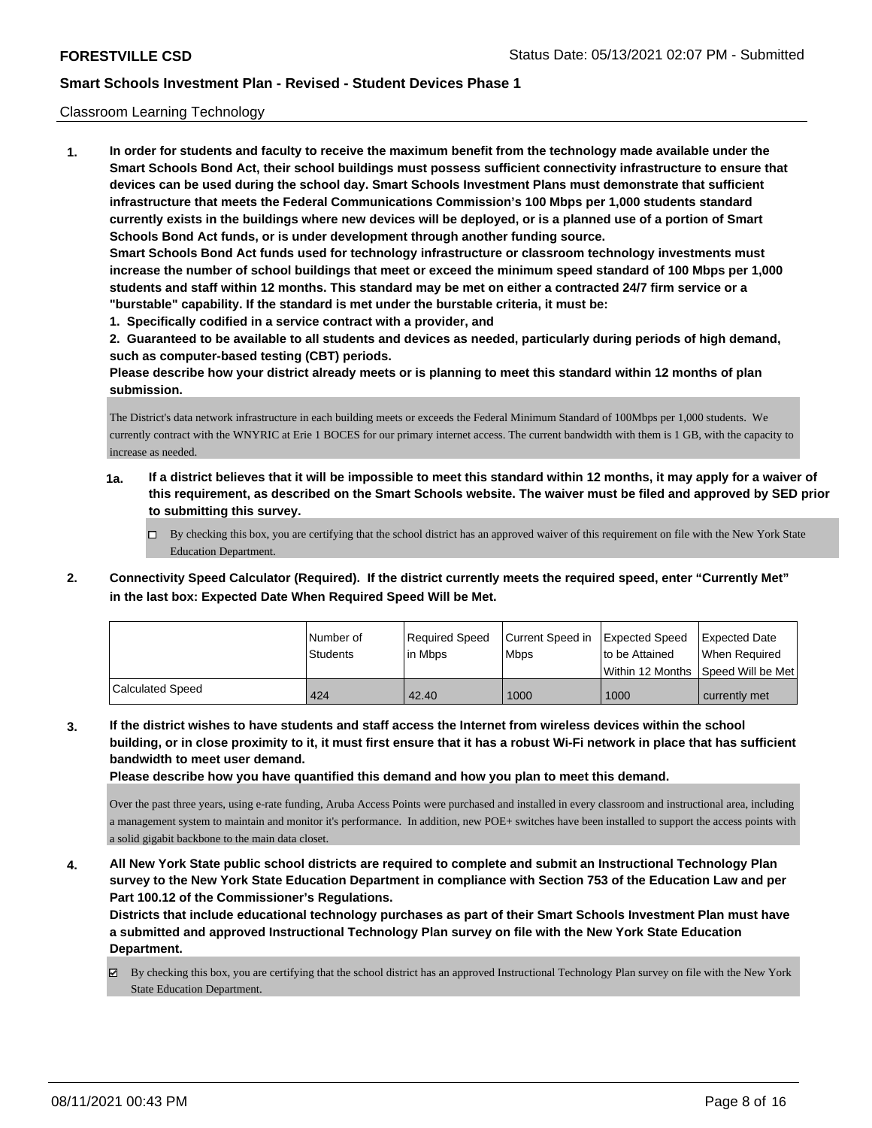#### Classroom Learning Technology

**1. In order for students and faculty to receive the maximum benefit from the technology made available under the Smart Schools Bond Act, their school buildings must possess sufficient connectivity infrastructure to ensure that devices can be used during the school day. Smart Schools Investment Plans must demonstrate that sufficient infrastructure that meets the Federal Communications Commission's 100 Mbps per 1,000 students standard currently exists in the buildings where new devices will be deployed, or is a planned use of a portion of Smart Schools Bond Act funds, or is under development through another funding source. Smart Schools Bond Act funds used for technology infrastructure or classroom technology investments must increase the number of school buildings that meet or exceed the minimum speed standard of 100 Mbps per 1,000 students and staff within 12 months. This standard may be met on either a contracted 24/7 firm service or a "burstable" capability. If the standard is met under the burstable criteria, it must be:**

**1. Specifically codified in a service contract with a provider, and**

**2. Guaranteed to be available to all students and devices as needed, particularly during periods of high demand, such as computer-based testing (CBT) periods.**

**Please describe how your district already meets or is planning to meet this standard within 12 months of plan submission.**

The District's data network infrastructure in each building meets or exceeds the Federal Minimum Standard of 100Mbps per 1,000 students. We currently contract with the WNYRIC at Erie 1 BOCES for our primary internet access. The current bandwidth with them is 1 GB, with the capacity to increase as needed.

- **1a. If a district believes that it will be impossible to meet this standard within 12 months, it may apply for a waiver of this requirement, as described on the Smart Schools website. The waiver must be filed and approved by SED prior to submitting this survey.**
	- $\Box$  By checking this box, you are certifying that the school district has an approved waiver of this requirement on file with the New York State Education Department.
- **2. Connectivity Speed Calculator (Required). If the district currently meets the required speed, enter "Currently Met" in the last box: Expected Date When Required Speed Will be Met.**

|                  | l Number of     | Required Speed | Current Speed in | <b>Expected Speed</b> | <b>Expected Date</b> |
|------------------|-----------------|----------------|------------------|-----------------------|----------------------|
|                  | <b>Students</b> | lin Mbps       | <b>Mbps</b>      | to be Attained        | When Reauired        |
|                  |                 |                |                  | l Within 12 Months    | Speed Will be Met    |
| Calculated Speed | 424             | 42.40          | 1000             | 1000                  | currently met        |

**3. If the district wishes to have students and staff access the Internet from wireless devices within the school building, or in close proximity to it, it must first ensure that it has a robust Wi-Fi network in place that has sufficient bandwidth to meet user demand.**

**Please describe how you have quantified this demand and how you plan to meet this demand.**

Over the past three years, using e-rate funding, Aruba Access Points were purchased and installed in every classroom and instructional area, including a management system to maintain and monitor it's performance. In addition, new POE+ switches have been installed to support the access points with a solid gigabit backbone to the main data closet.

**4. All New York State public school districts are required to complete and submit an Instructional Technology Plan survey to the New York State Education Department in compliance with Section 753 of the Education Law and per Part 100.12 of the Commissioner's Regulations.**

**Districts that include educational technology purchases as part of their Smart Schools Investment Plan must have a submitted and approved Instructional Technology Plan survey on file with the New York State Education Department.**

By checking this box, you are certifying that the school district has an approved Instructional Technology Plan survey on file with the New York State Education Department.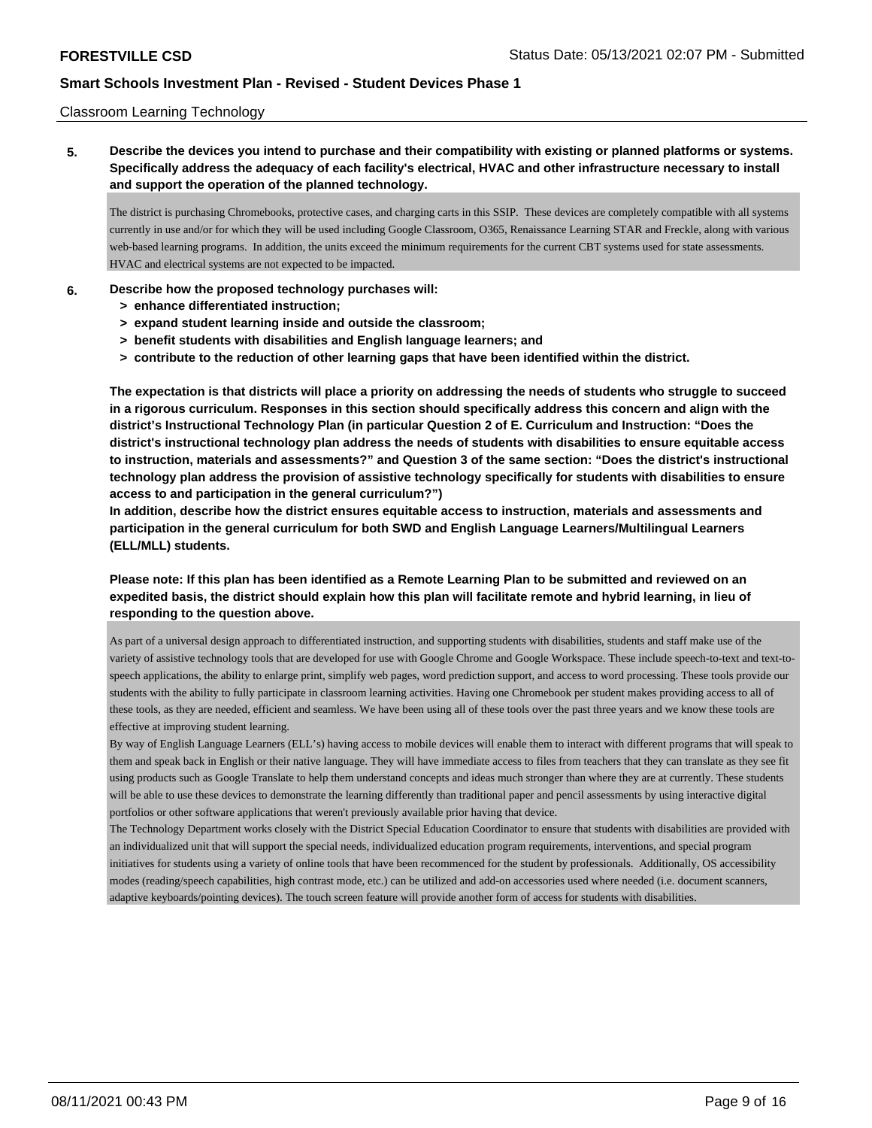#### Classroom Learning Technology

**5. Describe the devices you intend to purchase and their compatibility with existing or planned platforms or systems. Specifically address the adequacy of each facility's electrical, HVAC and other infrastructure necessary to install and support the operation of the planned technology.**

The district is purchasing Chromebooks, protective cases, and charging carts in this SSIP. These devices are completely compatible with all systems currently in use and/or for which they will be used including Google Classroom, O365, Renaissance Learning STAR and Freckle, along with various web-based learning programs. In addition, the units exceed the minimum requirements for the current CBT systems used for state assessments. HVAC and electrical systems are not expected to be impacted.

#### **6. Describe how the proposed technology purchases will:**

- **> enhance differentiated instruction;**
- **> expand student learning inside and outside the classroom;**
- **> benefit students with disabilities and English language learners; and**
- **> contribute to the reduction of other learning gaps that have been identified within the district.**

**The expectation is that districts will place a priority on addressing the needs of students who struggle to succeed in a rigorous curriculum. Responses in this section should specifically address this concern and align with the district's Instructional Technology Plan (in particular Question 2 of E. Curriculum and Instruction: "Does the district's instructional technology plan address the needs of students with disabilities to ensure equitable access to instruction, materials and assessments?" and Question 3 of the same section: "Does the district's instructional technology plan address the provision of assistive technology specifically for students with disabilities to ensure access to and participation in the general curriculum?")**

**In addition, describe how the district ensures equitable access to instruction, materials and assessments and participation in the general curriculum for both SWD and English Language Learners/Multilingual Learners (ELL/MLL) students.**

**Please note: If this plan has been identified as a Remote Learning Plan to be submitted and reviewed on an expedited basis, the district should explain how this plan will facilitate remote and hybrid learning, in lieu of responding to the question above.**

As part of a universal design approach to differentiated instruction, and supporting students with disabilities, students and staff make use of the variety of assistive technology tools that are developed for use with Google Chrome and Google Workspace. These include speech-to-text and text-tospeech applications, the ability to enlarge print, simplify web pages, word prediction support, and access to word processing. These tools provide our students with the ability to fully participate in classroom learning activities. Having one Chromebook per student makes providing access to all of these tools, as they are needed, efficient and seamless. We have been using all of these tools over the past three years and we know these tools are effective at improving student learning.

By way of English Language Learners (ELL's) having access to mobile devices will enable them to interact with different programs that will speak to them and speak back in English or their native language. They will have immediate access to files from teachers that they can translate as they see fit using products such as Google Translate to help them understand concepts and ideas much stronger than where they are at currently. These students will be able to use these devices to demonstrate the learning differently than traditional paper and pencil assessments by using interactive digital portfolios or other software applications that weren't previously available prior having that device.

The Technology Department works closely with the District Special Education Coordinator to ensure that students with disabilities are provided with an individualized unit that will support the special needs, individualized education program requirements, interventions, and special program initiatives for students using a variety of online tools that have been recommenced for the student by professionals. Additionally, OS accessibility modes (reading/speech capabilities, high contrast mode, etc.) can be utilized and add-on accessories used where needed (i.e. document scanners, adaptive keyboards/pointing devices). The touch screen feature will provide another form of access for students with disabilities.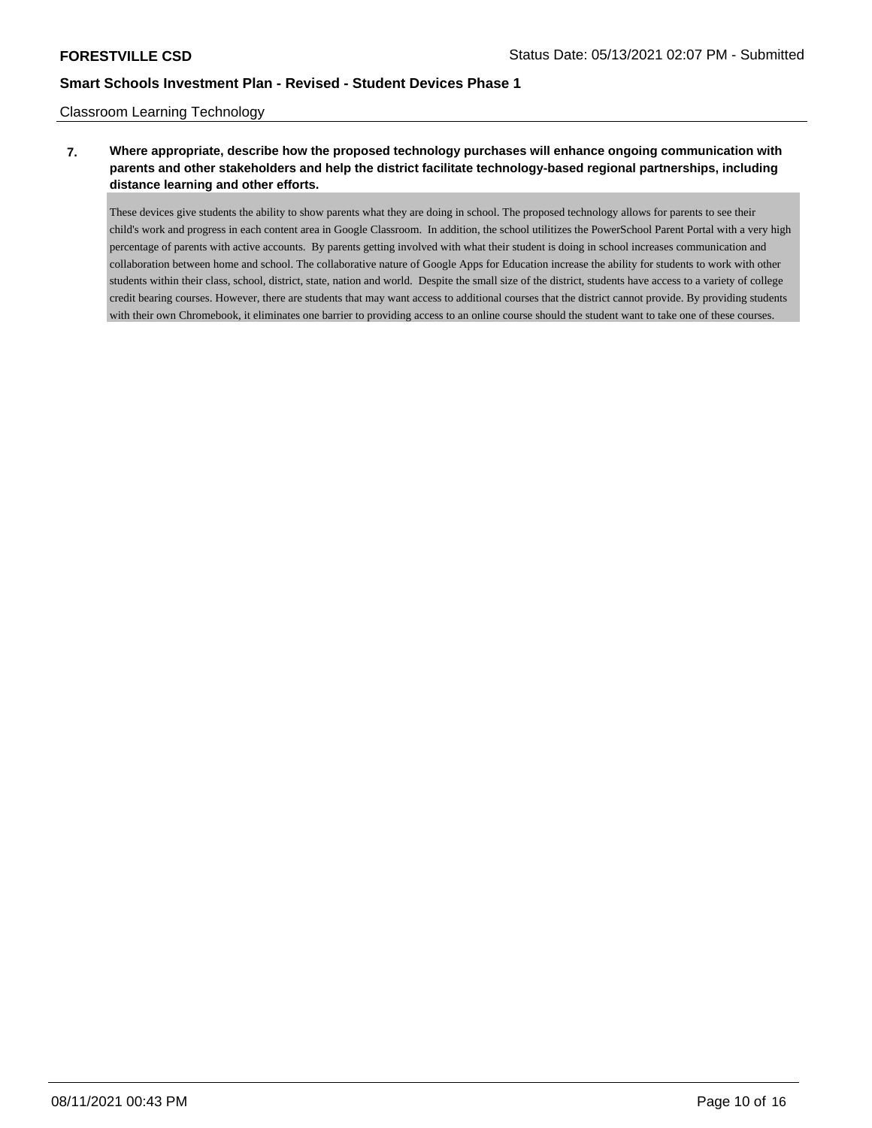### Classroom Learning Technology

# **7. Where appropriate, describe how the proposed technology purchases will enhance ongoing communication with parents and other stakeholders and help the district facilitate technology-based regional partnerships, including distance learning and other efforts.**

These devices give students the ability to show parents what they are doing in school. The proposed technology allows for parents to see their child's work and progress in each content area in Google Classroom. In addition, the school utilitizes the PowerSchool Parent Portal with a very high percentage of parents with active accounts. By parents getting involved with what their student is doing in school increases communication and collaboration between home and school. The collaborative nature of Google Apps for Education increase the ability for students to work with other students within their class, school, district, state, nation and world. Despite the small size of the district, students have access to a variety of college credit bearing courses. However, there are students that may want access to additional courses that the district cannot provide. By providing students with their own Chromebook, it eliminates one barrier to providing access to an online course should the student want to take one of these courses.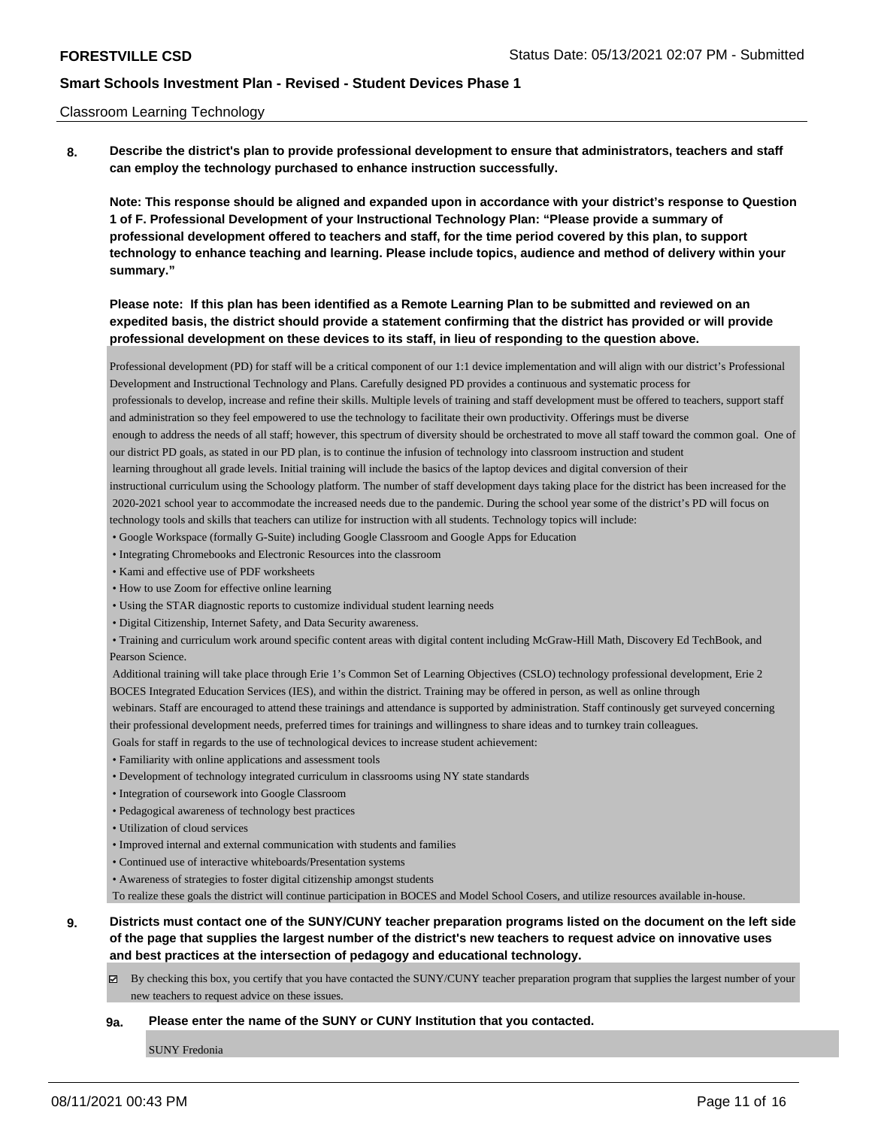#### Classroom Learning Technology

**8. Describe the district's plan to provide professional development to ensure that administrators, teachers and staff can employ the technology purchased to enhance instruction successfully.**

**Note: This response should be aligned and expanded upon in accordance with your district's response to Question 1 of F. Professional Development of your Instructional Technology Plan: "Please provide a summary of professional development offered to teachers and staff, for the time period covered by this plan, to support technology to enhance teaching and learning. Please include topics, audience and method of delivery within your summary."**

# **Please note: If this plan has been identified as a Remote Learning Plan to be submitted and reviewed on an expedited basis, the district should provide a statement confirming that the district has provided or will provide professional development on these devices to its staff, in lieu of responding to the question above.**

Professional development (PD) for staff will be a critical component of our 1:1 device implementation and will align with our district's Professional Development and Instructional Technology and Plans. Carefully designed PD provides a continuous and systematic process for professionals to develop, increase and refine their skills. Multiple levels of training and staff development must be offered to teachers, support staff and administration so they feel empowered to use the technology to facilitate their own productivity. Offerings must be diverse enough to address the needs of all staff; however, this spectrum of diversity should be orchestrated to move all staff toward the common goal. One of our district PD goals, as stated in our PD plan, is to continue the infusion of technology into classroom instruction and student learning throughout all grade levels. Initial training will include the basics of the laptop devices and digital conversion of their instructional curriculum using the Schoology platform. The number of staff development days taking place for the district has been increased for the 2020-2021 school year to accommodate the increased needs due to the pandemic. During the school year some of the district's PD will focus on technology tools and skills that teachers can utilize for instruction with all students. Technology topics will include:

- Google Workspace (formally G-Suite) including Google Classroom and Google Apps for Education
- Integrating Chromebooks and Electronic Resources into the classroom
- Kami and effective use of PDF worksheets
- How to use Zoom for effective online learning
- Using the STAR diagnostic reports to customize individual student learning needs
- Digital Citizenship, Internet Safety, and Data Security awareness.
- Training and curriculum work around specific content areas with digital content including McGraw-Hill Math, Discovery Ed TechBook, and Pearson Science.
- Additional training will take place through Erie 1's Common Set of Learning Objectives (CSLO) technology professional development, Erie 2 BOCES Integrated Education Services (IES), and within the district. Training may be offered in person, as well as online through

 webinars. Staff are encouraged to attend these trainings and attendance is supported by administration. Staff continously get surveyed concerning their professional development needs, preferred times for trainings and willingness to share ideas and to turnkey train colleagues.

Goals for staff in regards to the use of technological devices to increase student achievement:

- Familiarity with online applications and assessment tools
- Development of technology integrated curriculum in classrooms using NY state standards
- Integration of coursework into Google Classroom
- Pedagogical awareness of technology best practices
- Utilization of cloud services
- Improved internal and external communication with students and families
- Continued use of interactive whiteboards/Presentation systems
- Awareness of strategies to foster digital citizenship amongst students

To realize these goals the district will continue participation in BOCES and Model School Cosers, and utilize resources available in-house.

# **9. Districts must contact one of the SUNY/CUNY teacher preparation programs listed on the document on the left side of the page that supplies the largest number of the district's new teachers to request advice on innovative uses and best practices at the intersection of pedagogy and educational technology.**

By checking this box, you certify that you have contacted the SUNY/CUNY teacher preparation program that supplies the largest number of your new teachers to request advice on these issues.

#### **9a. Please enter the name of the SUNY or CUNY Institution that you contacted.**

SUNY Fredonia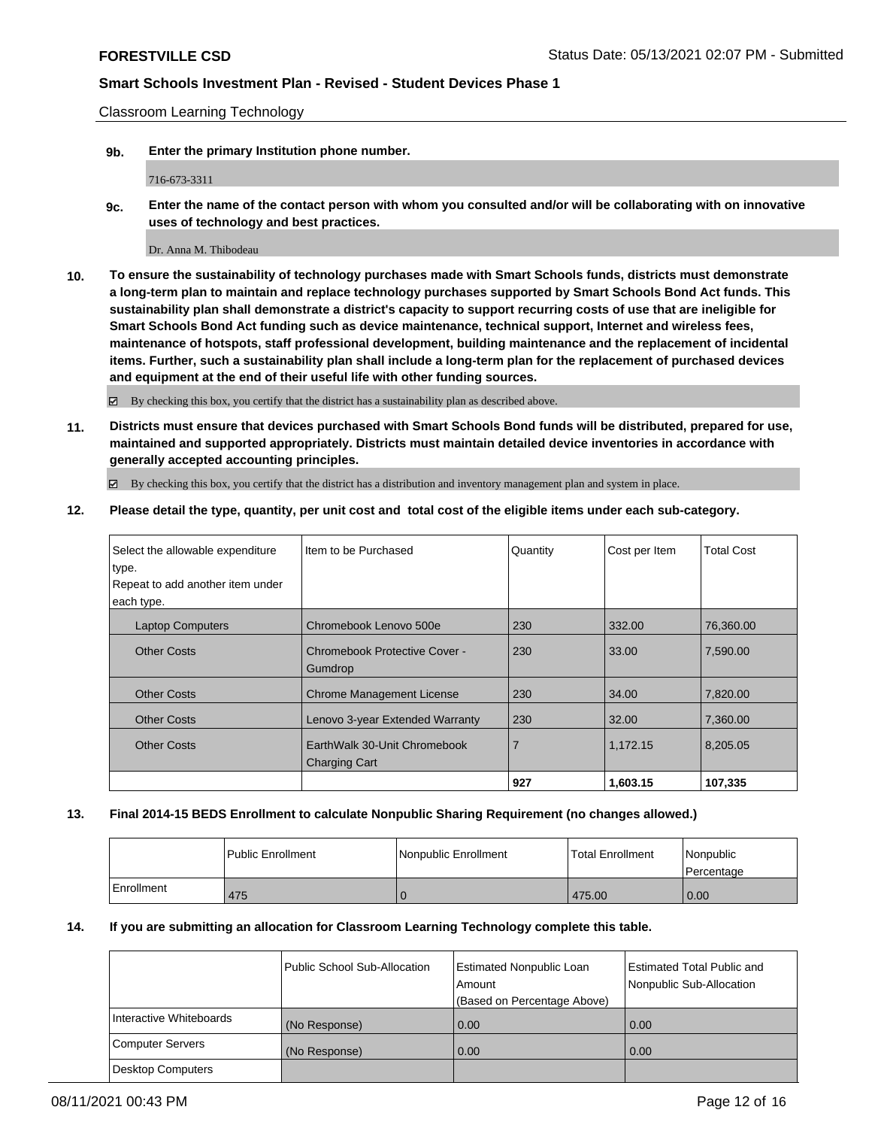Classroom Learning Technology

**9b. Enter the primary Institution phone number.**

716-673-3311

**9c. Enter the name of the contact person with whom you consulted and/or will be collaborating with on innovative uses of technology and best practices.**

Dr. Anna M. Thibodeau

**10. To ensure the sustainability of technology purchases made with Smart Schools funds, districts must demonstrate a long-term plan to maintain and replace technology purchases supported by Smart Schools Bond Act funds. This sustainability plan shall demonstrate a district's capacity to support recurring costs of use that are ineligible for Smart Schools Bond Act funding such as device maintenance, technical support, Internet and wireless fees, maintenance of hotspots, staff professional development, building maintenance and the replacement of incidental items. Further, such a sustainability plan shall include a long-term plan for the replacement of purchased devices and equipment at the end of their useful life with other funding sources.**

By checking this box, you certify that the district has a sustainability plan as described above.

**11. Districts must ensure that devices purchased with Smart Schools Bond funds will be distributed, prepared for use, maintained and supported appropriately. Districts must maintain detailed device inventories in accordance with generally accepted accounting principles.**

By checking this box, you certify that the district has a distribution and inventory management plan and system in place.

**12. Please detail the type, quantity, per unit cost and total cost of the eligible items under each sub-category.**

| Select the allowable expenditure | Item to be Purchased             | Quantity | Cost per Item | <b>Total Cost</b> |
|----------------------------------|----------------------------------|----------|---------------|-------------------|
| type.                            |                                  |          |               |                   |
| Repeat to add another item under |                                  |          |               |                   |
| each type.                       |                                  |          |               |                   |
| <b>Laptop Computers</b>          | Chromebook Lenovo 500e           | 230      | 332.00        | 76,360.00         |
| <b>Other Costs</b>               | Chromebook Protective Cover -    | 230      | 33.00         | 7,590.00          |
|                                  | Gumdrop                          |          |               |                   |
| <b>Other Costs</b>               | <b>Chrome Management License</b> | 230      | 34.00         | 7,820.00          |
| <b>Other Costs</b>               | Lenovo 3-year Extended Warranty  | 230      | 32.00         | 7,360.00          |
| <b>Other Costs</b>               | EarthWalk 30-Unit Chromebook     | 7        | 1.172.15      | 8,205.05          |
|                                  | <b>Charging Cart</b>             |          |               |                   |
|                                  |                                  | 927      | 1,603.15      | 107,335           |

### **13. Final 2014-15 BEDS Enrollment to calculate Nonpublic Sharing Requirement (no changes allowed.)**

|            | l Public Enrollment | l Nonpublic Enrollment | <b>Total Enrollment</b> | Nonpublic<br>Percentage |
|------------|---------------------|------------------------|-------------------------|-------------------------|
| Enrollment | 475                 | υ                      | 475.00                  | 0.00                    |

#### **14. If you are submitting an allocation for Classroom Learning Technology complete this table.**

|                         | Public School Sub-Allocation | <b>Estimated Nonpublic Loan</b><br>Amount<br>(Based on Percentage Above) | <b>Estimated Total Public and</b><br>Nonpublic Sub-Allocation |
|-------------------------|------------------------------|--------------------------------------------------------------------------|---------------------------------------------------------------|
| Interactive Whiteboards | (No Response)                | 0.00                                                                     | 0.00                                                          |
| Computer Servers        | (No Response)                | 0.00                                                                     | 0.00                                                          |
| Desktop Computers       |                              |                                                                          |                                                               |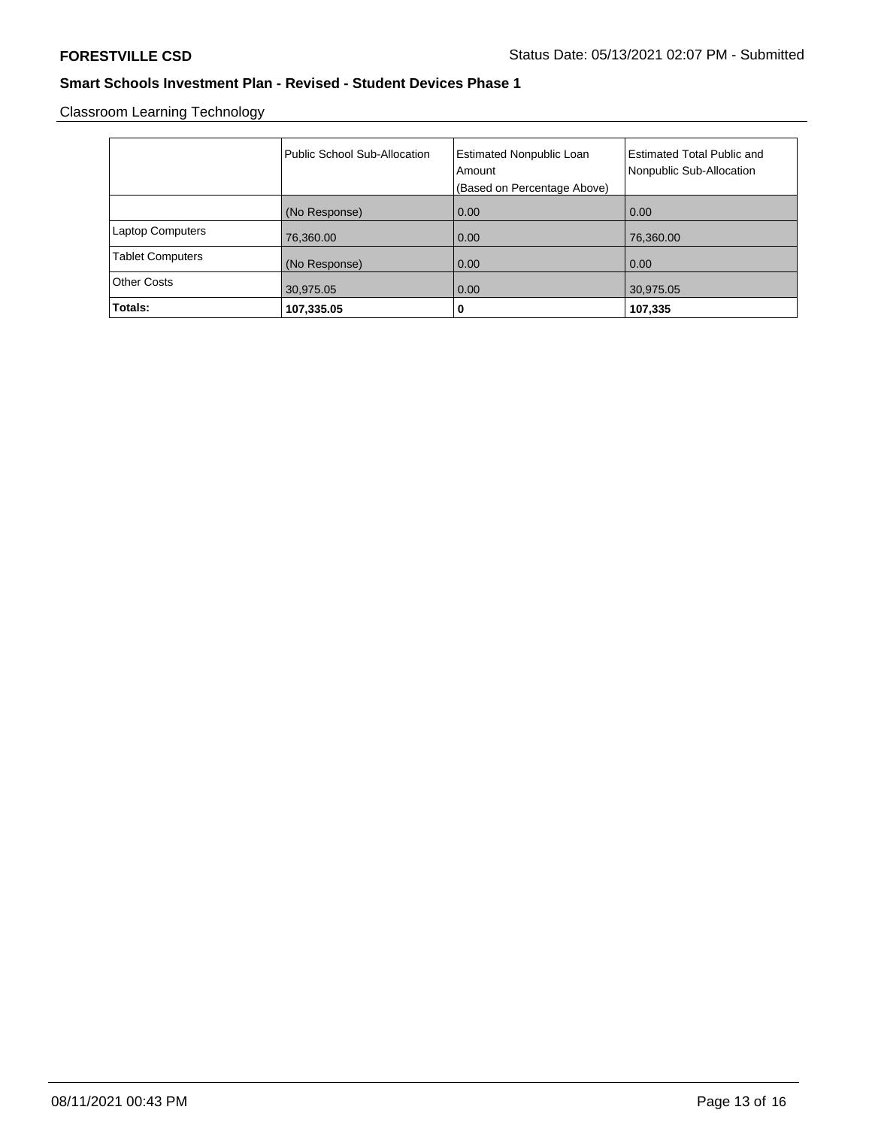Classroom Learning Technology

|                         | Public School Sub-Allocation | <b>Estimated Nonpublic Loan</b><br>Amount | <b>Estimated Total Public and</b><br>Nonpublic Sub-Allocation |
|-------------------------|------------------------------|-------------------------------------------|---------------------------------------------------------------|
|                         |                              | (Based on Percentage Above)               |                                                               |
|                         | (No Response)                | 0.00                                      | 0.00                                                          |
| <b>Laptop Computers</b> | 76,360.00                    | 0.00                                      | 76,360.00                                                     |
| <b>Tablet Computers</b> | (No Response)                | 0.00                                      | 0.00                                                          |
| <b>Other Costs</b>      | 30,975.05                    | 0.00                                      | 30,975.05                                                     |
| Totals:                 | 107,335.05                   | 0                                         | 107,335                                                       |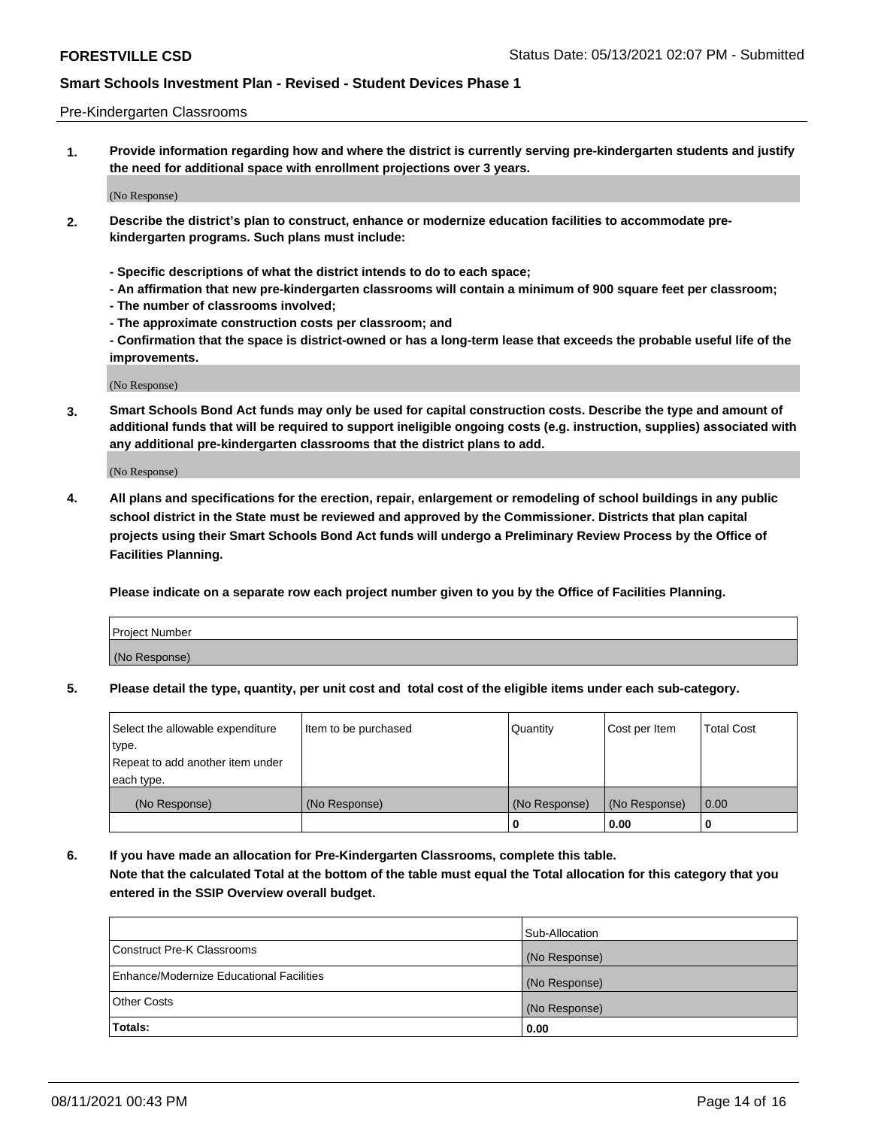#### Pre-Kindergarten Classrooms

**1. Provide information regarding how and where the district is currently serving pre-kindergarten students and justify the need for additional space with enrollment projections over 3 years.**

(No Response)

- **2. Describe the district's plan to construct, enhance or modernize education facilities to accommodate prekindergarten programs. Such plans must include:**
	- **Specific descriptions of what the district intends to do to each space;**
	- **An affirmation that new pre-kindergarten classrooms will contain a minimum of 900 square feet per classroom;**
	- **The number of classrooms involved;**
	- **The approximate construction costs per classroom; and**
	- **Confirmation that the space is district-owned or has a long-term lease that exceeds the probable useful life of the improvements.**

(No Response)

**3. Smart Schools Bond Act funds may only be used for capital construction costs. Describe the type and amount of additional funds that will be required to support ineligible ongoing costs (e.g. instruction, supplies) associated with any additional pre-kindergarten classrooms that the district plans to add.**

(No Response)

**4. All plans and specifications for the erection, repair, enlargement or remodeling of school buildings in any public school district in the State must be reviewed and approved by the Commissioner. Districts that plan capital projects using their Smart Schools Bond Act funds will undergo a Preliminary Review Process by the Office of Facilities Planning.**

**Please indicate on a separate row each project number given to you by the Office of Facilities Planning.**

| Project Number |  |
|----------------|--|
| (No Response)  |  |
|                |  |

**5. Please detail the type, quantity, per unit cost and total cost of the eligible items under each sub-category.**

| Select the allowable expenditure | Item to be purchased | Quantity      | Cost per Item | <b>Total Cost</b> |
|----------------------------------|----------------------|---------------|---------------|-------------------|
| type.                            |                      |               |               |                   |
| Repeat to add another item under |                      |               |               |                   |
| each type.                       |                      |               |               |                   |
| (No Response)                    | (No Response)        | (No Response) | (No Response) | 0.00              |
|                                  |                      | U             | 0.00          |                   |

**6. If you have made an allocation for Pre-Kindergarten Classrooms, complete this table. Note that the calculated Total at the bottom of the table must equal the Total allocation for this category that you entered in the SSIP Overview overall budget.**

| Totals:                                  | 0.00           |
|------------------------------------------|----------------|
| <b>Other Costs</b>                       | (No Response)  |
| Enhance/Modernize Educational Facilities | (No Response)  |
| Construct Pre-K Classrooms               | (No Response)  |
|                                          | Sub-Allocation |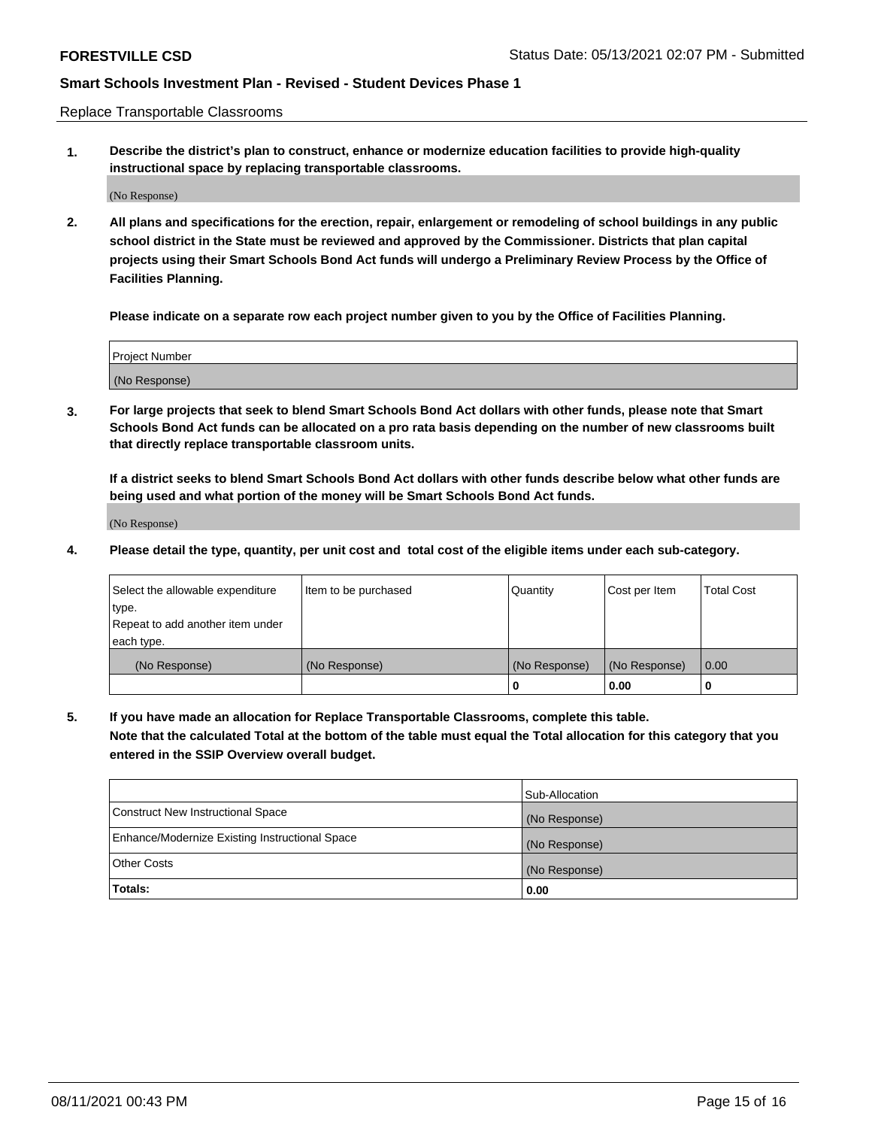Replace Transportable Classrooms

**1. Describe the district's plan to construct, enhance or modernize education facilities to provide high-quality instructional space by replacing transportable classrooms.**

(No Response)

**2. All plans and specifications for the erection, repair, enlargement or remodeling of school buildings in any public school district in the State must be reviewed and approved by the Commissioner. Districts that plan capital projects using their Smart Schools Bond Act funds will undergo a Preliminary Review Process by the Office of Facilities Planning.**

**Please indicate on a separate row each project number given to you by the Office of Facilities Planning.**

| Project Number |  |
|----------------|--|
|                |  |
| (No Response)  |  |

**3. For large projects that seek to blend Smart Schools Bond Act dollars with other funds, please note that Smart Schools Bond Act funds can be allocated on a pro rata basis depending on the number of new classrooms built that directly replace transportable classroom units.**

**If a district seeks to blend Smart Schools Bond Act dollars with other funds describe below what other funds are being used and what portion of the money will be Smart Schools Bond Act funds.**

(No Response)

**4. Please detail the type, quantity, per unit cost and total cost of the eligible items under each sub-category.**

| Select the allowable expenditure | Item to be purchased | Quantity      | Cost per Item | Total Cost |
|----------------------------------|----------------------|---------------|---------------|------------|
| ∣type.                           |                      |               |               |            |
| Repeat to add another item under |                      |               |               |            |
| each type.                       |                      |               |               |            |
| (No Response)                    | (No Response)        | (No Response) | (No Response) | 0.00       |
|                                  |                      | u             | 0.00          |            |

**5. If you have made an allocation for Replace Transportable Classrooms, complete this table. Note that the calculated Total at the bottom of the table must equal the Total allocation for this category that you entered in the SSIP Overview overall budget.**

|                                                | Sub-Allocation |
|------------------------------------------------|----------------|
| Construct New Instructional Space              | (No Response)  |
| Enhance/Modernize Existing Instructional Space | (No Response)  |
| Other Costs                                    | (No Response)  |
| Totals:                                        | 0.00           |